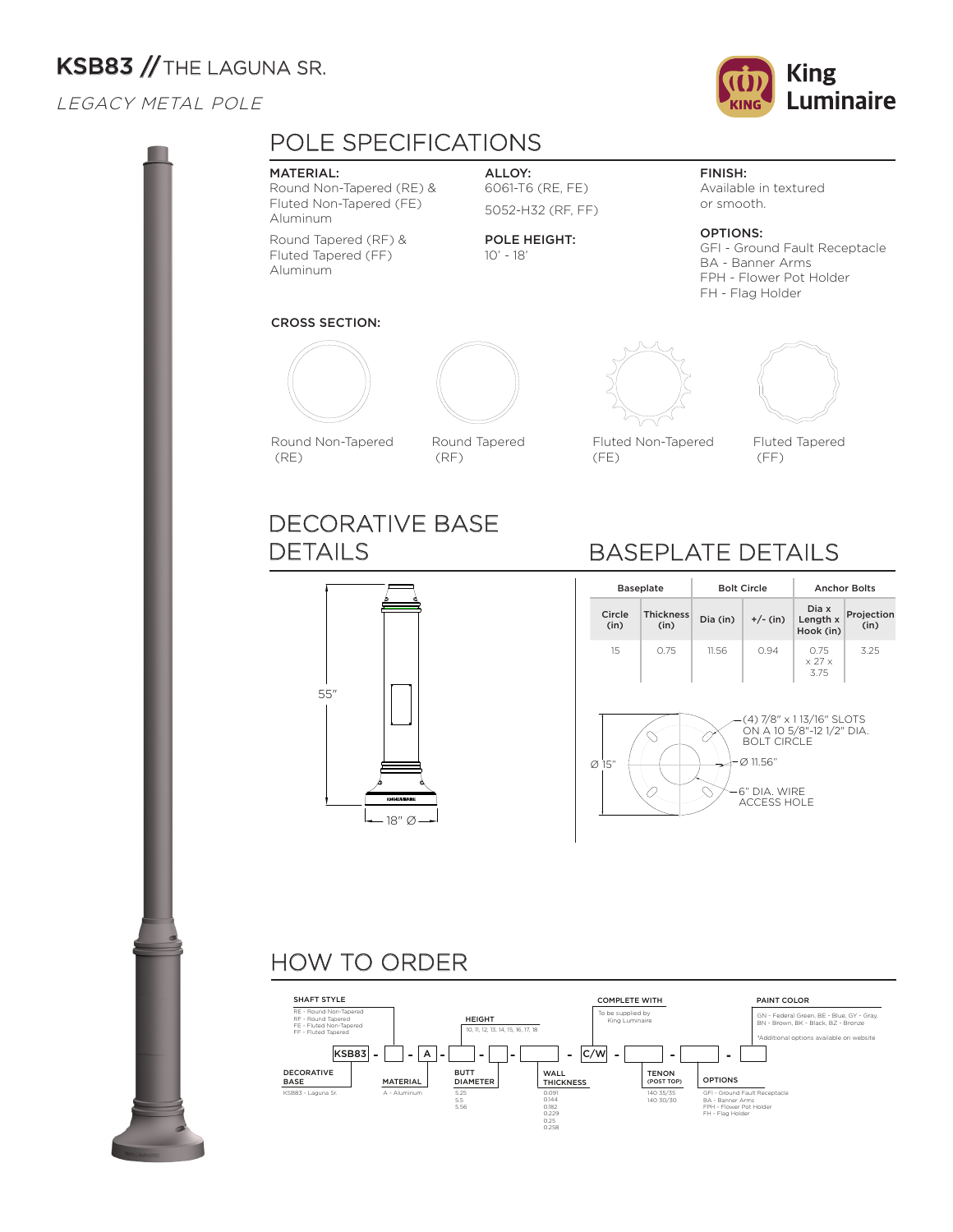# KSB83 // THE LAGUNA SR.

## LEGACY METAL POLE



### MATERIAL:

Round Non-Tapered (RE) & Fluted Non-Tapered (FE) Aluminum

Round Tapered (RF) & Fluted Tapered (FF) Aluminum

ALLOY: 6061-T6 (RE, FE) 5052-H32 (RF, FF)

POLE HEIGHT: 10' - 18'

## FINISH:

Available in textured or smooth.

OPTIONS: GFI - Ground Fault Receptacle BA - Banner Arms FPH - Flower Pot Holder FH - Flag Holder

## CROSS SECTION:



Round Non-Tapered (RE)

DETAILS

55"

DECORATIVE BASE



(RF)



Fluted Non-Tapered

(FE)

Fluted Tapered (FF)

# BASEPLATE DETAILS

|                | <b>Baseplate</b>         |          | <b>Bolt Circle</b>                                                   | <b>Anchor Bolts</b>                                    |                    |  |  |
|----------------|--------------------------|----------|----------------------------------------------------------------------|--------------------------------------------------------|--------------------|--|--|
| Circle<br>(in) | <b>Thickness</b><br>(in) | Dia (in) | $+/- (in)$                                                           | Dia x<br>Length x<br>Hook (in)                         | Projection<br>(in) |  |  |
| 15             | 0.75                     | 11.56    | 0.94                                                                 | 0.75<br>$\times$ 27 $\times$<br>3.75                   | 3.25               |  |  |
| 15"<br>Ø       |                          |          | <b>BOLT CIRCLE</b><br>Ø 11.56"<br>6" DIA. WIRE<br><b>ACCESS HOLE</b> | (4) 7/8″ x 1 13/16″ SLOTS<br>ON A 10 5/8"-12 1/2" DIA. |                    |  |  |

# HOW TO ORDER

 $-18"$  Ø



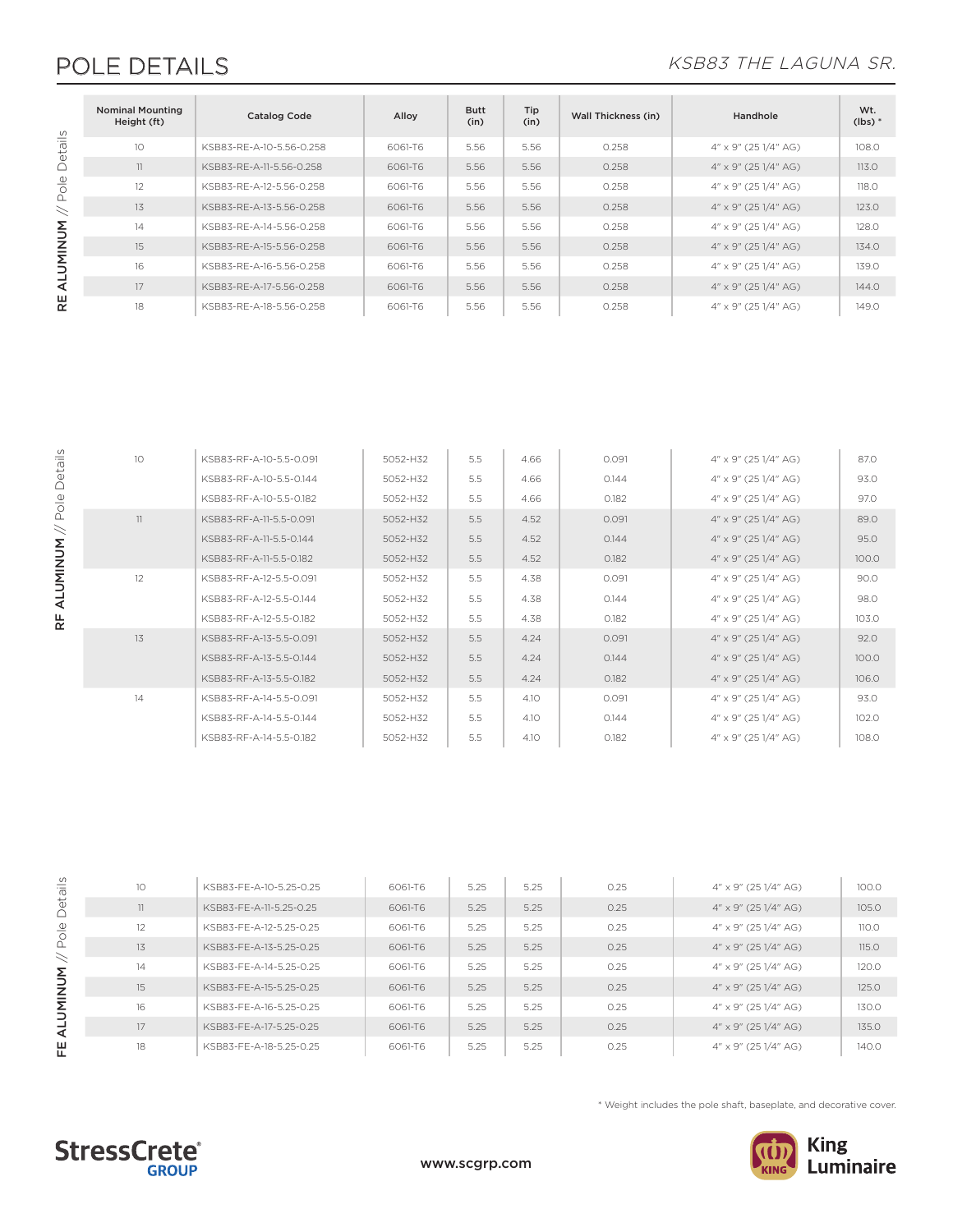# POLE DETAILS KSB83 THE LAGUNA SR.

|           | <b>Nominal Mounting</b><br>Height (ft) | <b>Catalog Code</b>      | Alloy   | <b>Butt</b><br>(in) | Tip<br>(in) | Wall Thickness (in) | Handhole                      | Wt.<br>$(lbs)$ * |
|-----------|----------------------------------------|--------------------------|---------|---------------------|-------------|---------------------|-------------------------------|------------------|
| etails    | 10                                     | KSB83-RF-A-10-5.56-0.258 | 6061-T6 | 5.56                | 5.56        | 0.258               | $4'' \times 9''$ (25 1/4" AG) | 108.0            |
| $\bigcap$ | 11                                     | KSB83-RF-A-11-5.56-0.258 | 6061-T6 | 5.56                | 5.56        | 0.258               | $4'' \times 9''$ (25 1/4" AG) | 113.0            |
| Pole      | 12                                     | KSB83-RF-A-12-5.56-0.258 | 6061-T6 | 5.56                | 5.56        | 0.258               | $4'' \times 9''$ (25 1/4" AG) | 118.0            |
| $\,$      | 13                                     | KSB83-RE-A-13-5.56-0.258 | 6061-T6 | 5.56                | 5.56        | 0.258               | $4'' \times 9''$ (25 1/4" AG) | 123.0            |
|           | 14                                     | KSB83-RF-A-14-5.56-0.258 | 6061-T6 | 5.56                | 5.56        | 0.258               | $4'' \times 9''$ (25 1/4" AG) | 128.0            |
| ALUMINUM  | 15                                     | KSB83-RE-A-15-5.56-0.258 | 6061-T6 | 5.56                | 5.56        | 0.258               | $4'' \times 9''$ (25 1/4" AG) | 134.0            |
|           | 16                                     | KSB83-RE-A-16-5.56-0.258 | 6061-T6 | 5.56                | 5.56        | 0.258               | $4'' \times 9''$ (25 1/4" AG) | 139.0            |
|           | 17                                     | KSB83-RE-A-17-5.56-0.258 | 6061-T6 | 5.56                | 5.56        | 0.258               | $4'' \times 9''$ (25 1/4" AG) | 144.0            |
| 뿑         | 18                                     | KSB83-RF-A-18-5.56-0.258 | 6061-T6 | 5.56                | 5.56        | 0.258               | $4'' \times 9''$ (25 1/4" AG) | 149.0            |

| 10 | KSB83-RF-A-10-5.5-0.091 | 5052-H32 | 5.5 | 4.66 | 0.091 | 4" x 9" (25 1/4" AG)             | 87.0  |
|----|-------------------------|----------|-----|------|-------|----------------------------------|-------|
|    | KSB83-RF-A-10-5.5-0.144 | 5052-H32 | 5.5 | 4.66 | 0.144 | 4" x 9" (25 1/4" AG)             | 93.0  |
|    | KSB83-RF-A-10-5.5-0.182 | 5052-H32 | 5.5 | 4.66 | 0.182 | 4" x 9" (25 1/4" AG)             | 97.0  |
| 11 | KSB83-RF-A-11-5.5-0.091 | 5052-H32 | 5.5 | 4.52 | 0.091 | $4'' \times 9''$ (25 1/4" AG)    | 89.0  |
|    | KSB83-RF-A-11-5.5-0.144 | 5052-H32 | 5.5 | 4.52 | 0.144 | $4'' \times 9''$ (25 $1/4''$ AG) | 95.0  |
|    | KSB83-RF-A-11-5.5-0.182 | 5052-H32 | 5.5 | 4.52 | 0.182 | $4'' \times 9''$ (25 $1/4''$ AG) | 100.0 |
| 12 | KSB83-RF-A-12-5.5-0.091 | 5052-H32 | 5.5 | 4.38 | 0.091 | 4" x 9" (25 1/4" AG)             | 90.0  |
|    | KSB83-RF-A-12-5.5-0.144 | 5052-H32 | 5.5 | 4.38 | 0.144 | 4" x 9" (25 1/4" AG)             | 98.0  |
|    | KSB83-RF-A-12-5.5-0.182 | 5052-H32 | 5.5 | 4.38 | 0.182 | 4" x 9" (25 1/4" AG)             | 103.0 |
| 13 | KSB83-RF-A-13-5.5-0.091 | 5052-H32 | 5.5 | 4.24 | 0.091 | $4'' \times 9''$ (25 $1/4''$ AG) | 92.0  |
|    | KSB83-RF-A-13-5.5-0.144 | 5052-H32 | 5.5 | 4.24 | 0.144 | $4'' \times 9''$ (25 $1/4''$ AG) | 100.0 |
|    | KSB83-RF-A-13-5.5-0.182 | 5052-H32 | 5.5 | 4.24 | 0.182 | $4'' \times 9''$ (25 $1/4''$ AG) | 106.0 |
| 14 | KSB83-RF-A-14-5.5-0.091 | 5052-H32 | 5.5 | 4.10 | 0.091 | 4" x 9" (25 1/4" AG)             | 93.0  |
|    | KSB83-RF-A-14-5.5-0.144 | 5052-H32 | 5.5 | 4.10 | 0.144 | $4'' \times 9''$ (25 1/4" AG)    | 102.0 |
|    | KSB83-RF-A-14-5.5-0.182 | 5052-H32 | 5.5 | 4.10 | 0.182 | 4" x 9" (25 1/4" AG)             | 108.0 |
|    |                         |          |     |      |       |                                  |       |

# FE ALUMINUM // Pole Details FE ALUMINUM // Pole Details

RF ALUMINUM // Pole Details

RF ALUMINUM // Pole Details

| 10 | KSB83-FF-A-10-5.25-0.25 | 6061-T6 | 5.25 | 5.25 | 0.25 | $4'' \times 9''$ (25 1/4" AG) | 100.0 |
|----|-------------------------|---------|------|------|------|-------------------------------|-------|
| 11 | KSB83-FF-A-11-5.25-0.25 | 6061-T6 | 5.25 | 5.25 | 0.25 | 4" x 9" (25 1/4" AG)          | 105.0 |
| 12 | KSB83-FF-A-12-5.25-0.25 | 6061-T6 | 5.25 | 5.25 | 0.25 | 4" x 9" (25 1/4" AG)          | 110.0 |
| 13 | KSB83-FF-A-13-5.25-0.25 | 6061-T6 | 5.25 | 5.25 | 0.25 | 4" x 9" (25 1/4" AG)          | 115.0 |
| 14 | KSB83-FF-A-14-5.25-0.25 | 6061-T6 | 5.25 | 5.25 | 0.25 | 4" x 9" (25 1/4" AG)          | 120.0 |
| 15 | KSB83-FF-A-15-5.25-0.25 | 6061-T6 | 5.25 | 5.25 | 0.25 | $4'' \times 9''$ (25 1/4" AG) | 125.0 |
| 16 | KSB83-FF-A-16-5.25-0.25 | 6061-T6 | 5.25 | 5.25 | 0.25 | 4" x 9" (25 1/4" AG)          | 130.0 |
| 17 | KSB83-FF-A-17-5.25-0.25 | 6061-T6 | 5.25 | 5.25 | 0.25 | $4'' \times 9''$ (25 1/4" AG) | 135.0 |
| 18 | KSB83-FF-A-18-5.25-0.25 | 6061-T6 | 5.25 | 5.25 | 0.25 | $4'' \times 9''$ (25 1/4" AG) | 140.0 |
|    |                         |         |      |      |      |                               |       |

\* Weight includes the pole shaft, baseplate, and decorative cover.



**StressCrete**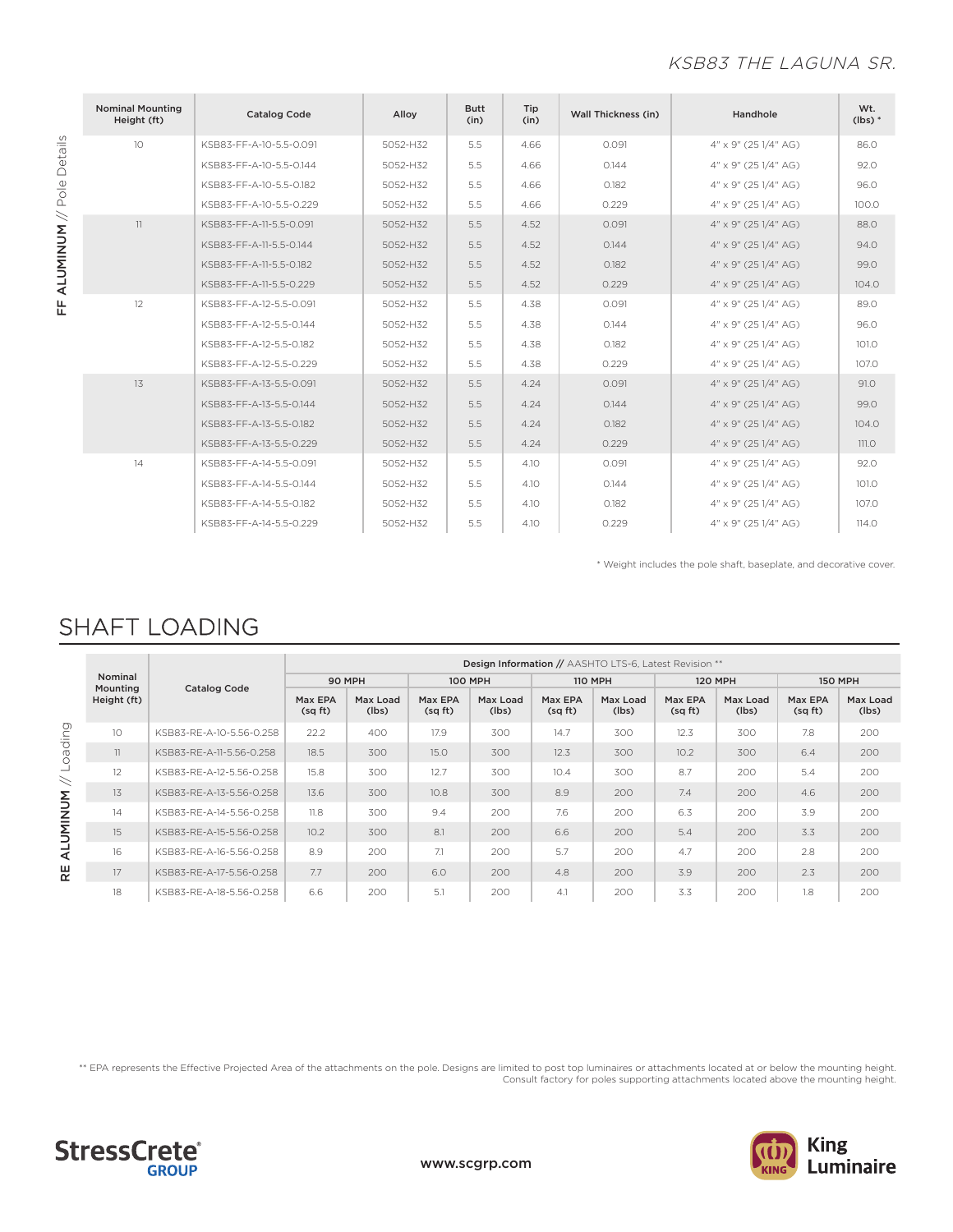## KSB83 THE LAGUNA SR.

| <b>Nominal Mounting</b><br>Height (ft) | <b>Catalog Code</b>     | Alloy    | <b>Butt</b><br>(in) | Tip<br>(in) | Wall Thickness (in) | Handhole                         | Wt.<br>$(lbs)$ * |
|----------------------------------------|-------------------------|----------|---------------------|-------------|---------------------|----------------------------------|------------------|
| 10                                     | KSB83-FF-A-10-5.5-0.091 | 5052-H32 | 5.5                 | 4.66        | 0.091               | $4'' \times 9''$ (25 1/4" AG)    | 86.0             |
|                                        | KSB83-FF-A-10-5.5-0.144 | 5052-H32 | 5.5                 | 4.66        | 0.144               | 4" x 9" (25 1/4" AG)             | 92.0             |
|                                        | KSB83-FF-A-10-5.5-0.182 | 5052-H32 | 5.5                 | 4.66        | 0.182               | $4'' \times 9''$ (25 1/4" AG)    | 96.0             |
|                                        | KSB83-FF-A-10-5.5-0.229 | 5052-H32 | 5.5                 | 4.66        | 0.229               | 4" x 9" (25 1/4" AG)             | 100.0            |
| 11                                     | KSB83-FF-A-11-5.5-0.091 | 5052-H32 | 5.5                 | 4.52        | 0.091               | 4" x 9" (25 1/4" AG)             | 88.0             |
|                                        | KSB83-FF-A-11-5.5-0.144 | 5052-H32 | 5.5                 | 4.52        | 0.144               | 4" x 9" (25 1/4" AG)             | 94.0             |
|                                        | KSB83-FF-A-11-5.5-0.182 | 5052-H32 | 5.5                 | 4.52        | 0.182               | $4'' \times 9''$ (25 $1/4''$ AG) | 99.0             |
|                                        | KSB83-FF-A-11-5.5-0.229 | 5052-H32 | 5.5                 | 4.52        | 0.229               | $4'' \times 9''$ (25 $1/4''$ AG) | 104.0            |
| 12                                     | KSB83-FF-A-12-5.5-0.091 | 5052-H32 | 5.5                 | 4.38        | 0.091               | $4'' \times 9''$ (25 1/4" AG)    | 89.0             |
|                                        | KSB83-FF-A-12-5.5-0.144 | 5052-H32 | 5.5                 | 4.38        | 0.144               | 4" x 9" (25 1/4" AG)             | 96.0             |
|                                        | KSB83-FF-A-12-5.5-0.182 | 5052-H32 | 5.5                 | 4.38        | 0.182               | 4" x 9" (25 1/4" AG)             | 101.0            |
|                                        | KSB83-FF-A-12-5.5-0.229 | 5052-H32 | 5.5                 | 4.38        | 0.229               | $4'' \times 9''$ (25 1/4" AG)    | 107.0            |
| 13                                     | KSB83-FF-A-13-5.5-0.091 | 5052-H32 | 5.5                 | 4.24        | 0.091               | $4'' \times 9''$ (25 $1/4''$ AG) | 91.0             |
|                                        | KSB83-FF-A-13-5.5-0.144 | 5052-H32 | 5.5                 | 4.24        | 0.144               | 4" x 9" (25 1/4" AG)             | 99.0             |
|                                        | KSB83-FF-A-13-5.5-0.182 | 5052-H32 | 5.5                 | 4.24        | 0.182               | 4" x 9" (25 1/4" AG)             | 104.0            |
|                                        | KSB83-FF-A-13-5.5-0.229 | 5052-H32 | 5.5                 | 4.24        | 0.229               | 4" x 9" (25 1/4" AG)             | <b>111.0</b>     |
| 14                                     | KSB83-FF-A-14-5.5-0.091 | 5052-H32 | 5.5                 | 4.10        | 0.091               | 4" x 9" (25 1/4" AG)             | 92.0             |
|                                        | KSB83-FF-A-14-5.5-0.144 | 5052-H32 | 5.5                 | 4.10        | 0.144               | 4" x 9" (25 1/4" AG)             | 101.0            |
|                                        | KSB83-FF-A-14-5.5-0.182 | 5052-H32 | 5.5                 | 4.10        | 0.182               | $4'' \times 9''$ (25 1/4" AG)    | 107.0            |
|                                        | KSB83-FF-A-14-5.5-0.229 | 5052-H32 | 5.5                 | 4.10        | 0.229               | $4'' \times 9''$ (25 1/4" AG)    | 114.0            |

\* Weight includes the pole shaft, baseplate, and decorative cover.

# SHAFT LOADING

|          |                                    |                          | Design Information // AASHTO LTS-6, Latest Revision ** |                   |                   |                   |                   |                   |                   |                   |                   |                   |  |  |
|----------|------------------------------------|--------------------------|--------------------------------------------------------|-------------------|-------------------|-------------------|-------------------|-------------------|-------------------|-------------------|-------------------|-------------------|--|--|
|          | Nominal<br>Mounting<br>Height (ft) | <b>Catalog Code</b>      | 90 MPH                                                 |                   |                   | <b>100 MPH</b>    |                   | <b>110 MPH</b>    |                   | <b>120 MPH</b>    |                   | <b>150 MPH</b>    |  |  |
|          |                                    |                          | Max EPA<br>(sqft)                                      | Max Load<br>(lbs) | Max EPA<br>(sqft) | Max Load<br>(lbs) | Max EPA<br>(sqft) | Max Load<br>(lbs) | Max EPA<br>(sqft) | Max Load<br>(lbs) | Max EPA<br>(sqft) | Max Load<br>(lbs) |  |  |
|          | 10 <sup>2</sup>                    | KSB83-RE-A-10-5.56-0.258 | 22.2                                                   | 400               | 17.9              | 300               | 14.7              | 300               | 12.3              | 300               | 7.8               | 200               |  |  |
| Loading  | 11                                 | KSB83-RE-A-11-5.56-0.258 | 18.5                                                   | 300               | 15.0              | 300               | 12.3              | 300               | 10.2              | 300               | 6.4               | 200               |  |  |
| $\prec$  | 12                                 | KSB83-RE-A-12-5.56-0.258 | 15.8                                                   | 300               | 12.7              | 300               | 10.4              | 300               | 8.7               | 200               | 5.4               | 200               |  |  |
|          | 13                                 | KSB83-RE-A-13-5.56-0.258 | 13.6                                                   | 300               | 10.8              | 300               | 8.9               | 200               | 7.4               | 200               | 4.6               | 200               |  |  |
|          | 14                                 | KSB83-RE-A-14-5.56-0.258 | 11.8                                                   | 300               | 9.4               | 200               | 7.6               | 200               | 6.3               | 200               | 3.9               | 200               |  |  |
| ALUMINUM | 15                                 | KSB83-RE-A-15-5.56-0.258 | 10.2                                                   | 300               | 8.1               | 200               | 6.6               | 200               | 5.4               | 200               | 3.3               | 200               |  |  |
|          | 16                                 | KSB83-RE-A-16-5.56-0.258 | 8.9                                                    | 200               | 7.1               | 200               | 5.7               | 200               | 4.7               | 200               | 2.8               | 200               |  |  |
| 분        | 17                                 | KSB83-RE-A-17-5.56-0.258 | 7.7                                                    | 200               | 6.0               | 200               | 4.8               | 200               | 3.9               | 200               | 2.3               | 200               |  |  |
|          | 18                                 | KSB83-RE-A-18-5.56-0.258 | 6.6                                                    | 200               | 5.1               | 200               | 4.1               | 200               | 3.3               | 200               | 1.8               | 200               |  |  |

\*\* EPA represents the Effective Projected Area of the attachments on the pole. Designs are limited to post top luminaires or attachments located at or below the mounting height. Consult factory for poles supporting attachments located above the mounting height.